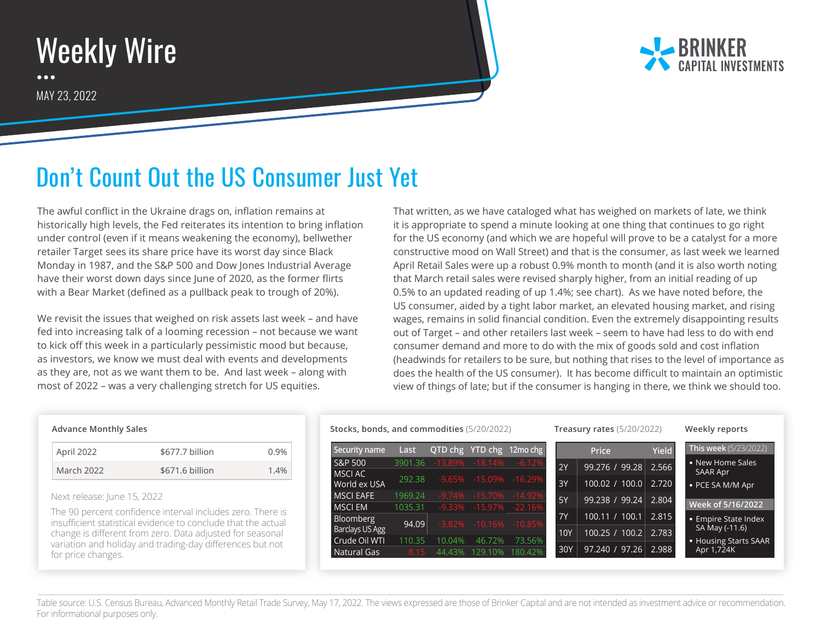## Weekly Wire  $\bullet\bullet\bullet$ MAY 23, 2022



## Don't Count Out the US Consumer Just Yet

The awful conflict in the Ukraine drags on, inflation remains at historically high levels, the Fed reiterates its intention to bring inflation under control (even if it means weakening the economy), bellwether retailer Target sees its share price have its worst day since Black Monday in 1987, and the S&P 500 and Dow Jones Industrial Average have their worst down days since June of 2020, as the former flirts with a Bear Market (defined as a pullback peak to trough of 20%).

We revisit the issues that weighed on risk assets last week – and have fed into increasing talk of a looming recession – not because we want to kick off this week in a particularly pessimistic mood but because, as investors, we know we must deal with events and developments as they are, not as we want them to be. And last week – along with most of 2022 – was a very challenging stretch for US equities.

That written, as we have cataloged what has weighed on markets of late, we think it is appropriate to spend a minute looking at one thing that continues to go right for the US economy (and which we are hopeful will prove to be a catalyst for a more constructive mood on Wall Street) and that is the consumer, as last week we learned April Retail Sales were up a robust 0.9% month to month (and it is also worth noting that March retail sales were revised sharply higher, from an initial reading of up 0.5% to an updated reading of up 1.4%; see chart). As we have noted before, the US consumer, aided by a tight labor market, an elevated housing market, and rising wages, remains in solid financial condition. Even the extremely disappointing results out of Target – and other retailers last week – seem to have had less to do with end consumer demand and more to do with the mix of goods sold and cost inflation (headwinds for retailers to be sure, but nothing that rises to the level of importance as does the health of the US consumer). It has become difficult to maintain an optimistic view of things of late; but if the consumer is hanging in there, we think we should too.

## **Advance Monthly Sales**

| April 2022 | \$677.7 billion | 0.9% |
|------------|-----------------|------|
| March 2022 | \$671.6 billion | 1.4% |

Next release: June 15, 2022

The 90 percent confidence interval includes zero. There is insufficient statistical evidence to conclude that the actual change is different from zero. Data adjusted for seasonal variation and holiday and trading-day differences but not for price changes.

**Stocks, bonds, and commodities** (5/20/2022) **Treasury rates** (5/20/2022) **Weekly reports**

| Security name          | Last    |           |                     | QTD chg YTD chg 12mo chg    |           | Price              | <b>Yield</b> | This week (5/23/2022) |
|------------------------|---------|-----------|---------------------|-----------------------------|-----------|--------------------|--------------|-----------------------|
| S&P 500                | 3901.36 |           | $-13.89\% -18.14\%$ | $-6.12%$                    | 2Y        | 99.276 / 99.28     | 2.566        | • New Home Sales      |
| <b>MSCIAC</b>          | 292.38  |           |                     | -9.65% -15.09% -16.29%      |           |                    |              | <b>SAAR Apr</b>       |
| World ex USA           |         |           |                     |                             | 3Y        | 100.02 / 100.0     | 2.720        | • PCE SA M/M Apr      |
| <b>MSCI EAFE</b>       | 1969.24 | $-9.74\%$ |                     | $-15.70\%$ $-14.92\%$       | 5Y        | 99.238 / 99.24     | 2.804        |                       |
| <b>MSCIEM</b>          | 1035.31 |           |                     | $-9.33\% -15.97\% -22.16\%$ |           |                    |              | Week of 5/16/2022     |
| Bloomberg              |         |           |                     |                             | <b>7Y</b> | 100.11 / 100.1     | 2.815        | • Empire State Index  |
| <b>Barclays US Agg</b> | 94.09   |           |                     | $-3.82\% -10.16\% -10.85\%$ | 10Y       | $100.25$ / $100.2$ | 2.783        | SA May (-11.6)        |
| Crude Oil WTI          | 110.35  | 10.04%    | 46.72%              | 73.56%                      |           |                    |              | • Housing Starts SAAR |
| Natural Gas            | 8.15    | 44.43%    | 129.10%             | 180.42%                     | 30Y       | 97.240 / 97.26     | 2.988        | Apr 1,724K            |
|                        |         |           |                     |                             |           |                    |              |                       |

Table source: U.S. Census Bureau, Advanced Monthly Retail Trade Survey, May 17, 2022. The views expressed are those of Brinker Capital and are not intended as investment advice or recommendation. For informational purposes only.